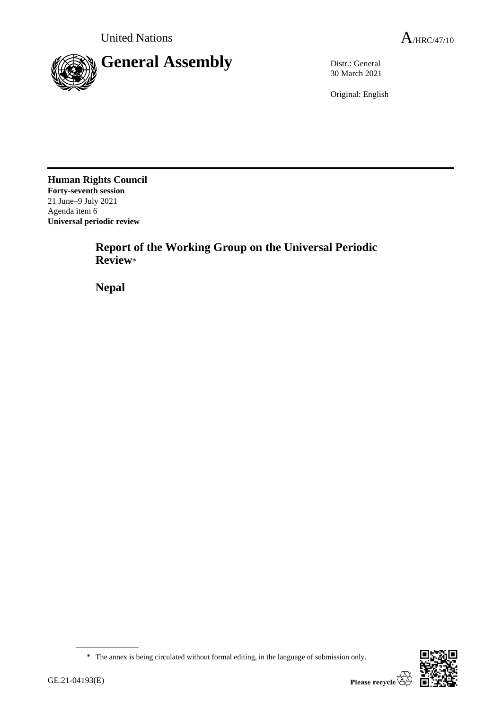

30 March 2021

Original: English

**Human Rights Council Forty-seventh session** 21 June–9 July 2021 Agenda item 6 **Universal periodic review**

> **Report of the Working Group on the Universal Periodic Review**\*

**Nepal**



<sup>\*</sup> The annex is being circulated without formal editing, in the language of submission only.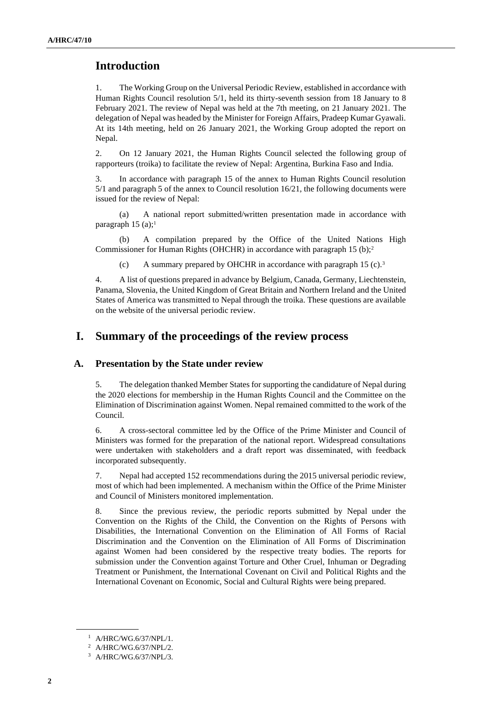## **Introduction**

1. The Working Group on the Universal Periodic Review, established in accordance with Human Rights Council resolution 5/1, held its thirty-seventh session from 18 January to 8 February 2021. The review of Nepal was held at the 7th meeting, on 21 January 2021. The delegation of Nepal was headed by the Minister for Foreign Affairs, Pradeep Kumar Gyawali. At its 14th meeting, held on 26 January 2021, the Working Group adopted the report on Nepal.

2. On 12 January 2021, the Human Rights Council selected the following group of rapporteurs (troika) to facilitate the review of Nepal: Argentina, Burkina Faso and India.

3. In accordance with paragraph 15 of the annex to Human Rights Council resolution 5/1 and paragraph 5 of the annex to Council resolution 16/21, the following documents were issued for the review of Nepal:

A national report submitted/written presentation made in accordance with paragraph 15 (a);<sup>1</sup>

(b) A compilation prepared by the Office of the United Nations High Commissioner for Human Rights (OHCHR) in accordance with paragraph 15 (b);<sup>2</sup>

(c) A summary prepared by OHCHR in accordance with paragraph 15 (c).<sup>3</sup>

4. A list of questions prepared in advance by Belgium, Canada, Germany, Liechtenstein, Panama, Slovenia, the United Kingdom of Great Britain and Northern Ireland and the United States of America was transmitted to Nepal through the troika. These questions are available on the website of the universal periodic review.

# **I. Summary of the proceedings of the review process**

### **A. Presentation by the State under review**

5. The delegation thanked Member States for supporting the candidature of Nepal during the 2020 elections for membership in the Human Rights Council and the Committee on the Elimination of Discrimination against Women. Nepal remained committed to the work of the Council.

6. A cross-sectoral committee led by the Office of the Prime Minister and Council of Ministers was formed for the preparation of the national report. Widespread consultations were undertaken with stakeholders and a draft report was disseminated, with feedback incorporated subsequently.

7. Nepal had accepted 152 recommendations during the 2015 universal periodic review, most of which had been implemented. A mechanism within the Office of the Prime Minister and Council of Ministers monitored implementation.

8. Since the previous review, the periodic reports submitted by Nepal under the Convention on the Rights of the Child, the Convention on the Rights of Persons with Disabilities, the International Convention on the Elimination of All Forms of Racial Discrimination and the Convention on the Elimination of All Forms of Discrimination against Women had been considered by the respective treaty bodies. The reports for submission under the Convention against Torture and Other Cruel, Inhuman or Degrading Treatment or Punishment, the International Covenant on Civil and Political Rights and the International Covenant on Economic, Social and Cultural Rights were being prepared.

<sup>1</sup> A/HRC/WG.6/37/NPL/1.

<sup>2</sup> A/HRC/WG.6/37/NPL/2.

<sup>3</sup> A/HRC/WG.6/37/NPL/3.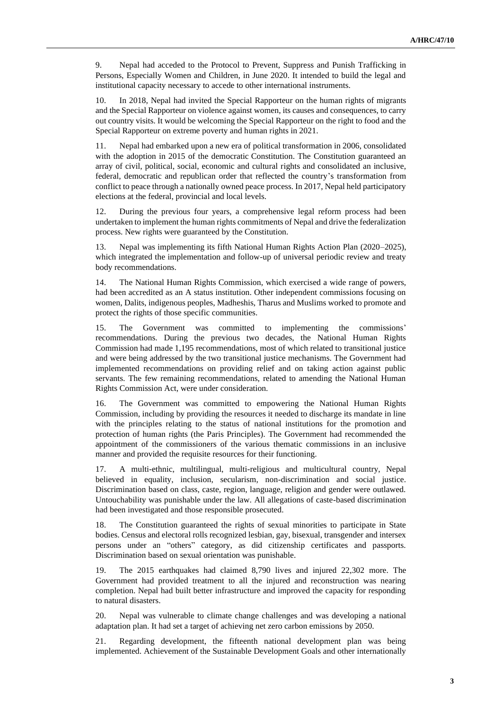9. Nepal had acceded to the Protocol to Prevent, Suppress and Punish Trafficking in Persons, Especially Women and Children, in June 2020. It intended to build the legal and institutional capacity necessary to accede to other international instruments.

10. In 2018, Nepal had invited the Special Rapporteur on the human rights of migrants and the Special Rapporteur on violence against women, its causes and consequences, to carry out country visits. It would be welcoming the Special Rapporteur on the right to food and the Special Rapporteur on extreme poverty and human rights in 2021.

11. Nepal had embarked upon a new era of political transformation in 2006, consolidated with the adoption in 2015 of the democratic Constitution. The Constitution guaranteed an array of civil, political, social, economic and cultural rights and consolidated an inclusive, federal, democratic and republican order that reflected the country's transformation from conflict to peace through a nationally owned peace process. In 2017, Nepal held participatory elections at the federal, provincial and local levels.

12. During the previous four years, a comprehensive legal reform process had been undertaken to implement the human rights commitments of Nepal and drive the federalization process. New rights were guaranteed by the Constitution.

13. Nepal was implementing its fifth National Human Rights Action Plan (2020–2025), which integrated the implementation and follow-up of universal periodic review and treaty body recommendations.

14. The National Human Rights Commission, which exercised a wide range of powers, had been accredited as an A status institution. Other independent commissions focusing on women, Dalits, indigenous peoples, Madheshis, Tharus and Muslims worked to promote and protect the rights of those specific communities.

15. The Government was committed to implementing the commissions' recommendations. During the previous two decades, the National Human Rights Commission had made 1,195 recommendations, most of which related to transitional justice and were being addressed by the two transitional justice mechanisms. The Government had implemented recommendations on providing relief and on taking action against public servants. The few remaining recommendations, related to amending the National Human Rights Commission Act, were under consideration.

16. The Government was committed to empowering the National Human Rights Commission, including by providing the resources it needed to discharge its mandate in line with the principles relating to the status of national institutions for the promotion and protection of human rights (the Paris Principles). The Government had recommended the appointment of the commissioners of the various thematic commissions in an inclusive manner and provided the requisite resources for their functioning.

17. A multi-ethnic, multilingual, multi-religious and multicultural country, Nepal believed in equality, inclusion, secularism, non-discrimination and social justice. Discrimination based on class, caste, region, language, religion and gender were outlawed. Untouchability was punishable under the law. All allegations of caste-based discrimination had been investigated and those responsible prosecuted.

18. The Constitution guaranteed the rights of sexual minorities to participate in State bodies. Census and electoral rolls recognized lesbian, gay, bisexual, transgender and intersex persons under an "others" category, as did citizenship certificates and passports. Discrimination based on sexual orientation was punishable.

19. The 2015 earthquakes had claimed 8,790 lives and injured 22,302 more. The Government had provided treatment to all the injured and reconstruction was nearing completion. Nepal had built better infrastructure and improved the capacity for responding to natural disasters.

20. Nepal was vulnerable to climate change challenges and was developing a national adaptation plan. It had set a target of achieving net zero carbon emissions by 2050.

21. Regarding development, the fifteenth national development plan was being implemented. Achievement of the Sustainable Development Goals and other internationally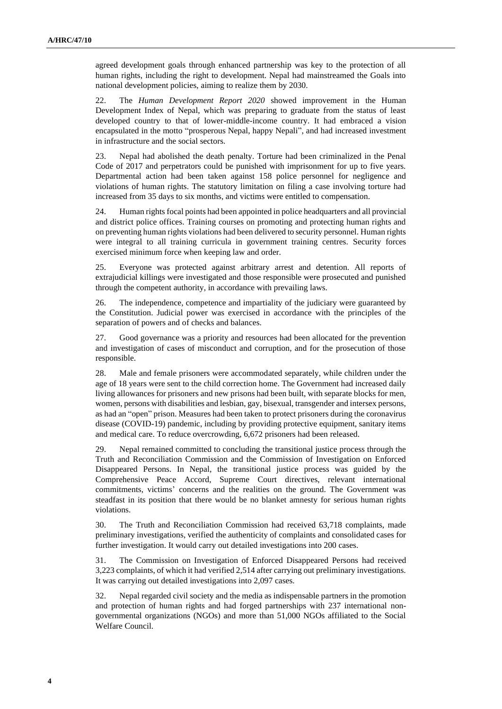agreed development goals through enhanced partnership was key to the protection of all human rights, including the right to development. Nepal had mainstreamed the Goals into national development policies, aiming to realize them by 2030.

22. The *Human Development Report 2020* showed improvement in the Human Development Index of Nepal, which was preparing to graduate from the status of least developed country to that of lower-middle-income country. It had embraced a vision encapsulated in the motto "prosperous Nepal, happy Nepali", and had increased investment in infrastructure and the social sectors.

23. Nepal had abolished the death penalty. Torture had been criminalized in the Penal Code of 2017 and perpetrators could be punished with imprisonment for up to five years. Departmental action had been taken against 158 police personnel for negligence and violations of human rights. The statutory limitation on filing a case involving torture had increased from 35 days to six months, and victims were entitled to compensation.

24. Human rights focal points had been appointed in police headquarters and all provincial and district police offices. Training courses on promoting and protecting human rights and on preventing human rights violations had been delivered to security personnel. Human rights were integral to all training curricula in government training centres. Security forces exercised minimum force when keeping law and order.

25. Everyone was protected against arbitrary arrest and detention. All reports of extrajudicial killings were investigated and those responsible were prosecuted and punished through the competent authority, in accordance with prevailing laws.

26. The independence, competence and impartiality of the judiciary were guaranteed by the Constitution. Judicial power was exercised in accordance with the principles of the separation of powers and of checks and balances.

27. Good governance was a priority and resources had been allocated for the prevention and investigation of cases of misconduct and corruption, and for the prosecution of those responsible.

28. Male and female prisoners were accommodated separately, while children under the age of 18 years were sent to the child correction home. The Government had increased daily living allowances for prisoners and new prisons had been built, with separate blocks for men, women, persons with disabilities and lesbian, gay, bisexual, transgender and intersex persons, as had an "open" prison. Measures had been taken to protect prisoners during the coronavirus disease (COVID-19) pandemic, including by providing protective equipment, sanitary items and medical care. To reduce overcrowding, 6,672 prisoners had been released.

29. Nepal remained committed to concluding the transitional justice process through the Truth and Reconciliation Commission and the Commission of Investigation on Enforced Disappeared Persons. In Nepal, the transitional justice process was guided by the Comprehensive Peace Accord, Supreme Court directives, relevant international commitments, victims' concerns and the realities on the ground. The Government was steadfast in its position that there would be no blanket amnesty for serious human rights violations.

30. The Truth and Reconciliation Commission had received 63,718 complaints, made preliminary investigations, verified the authenticity of complaints and consolidated cases for further investigation. It would carry out detailed investigations into 200 cases.

31. The Commission on Investigation of Enforced Disappeared Persons had received 3,223 complaints, of which it had verified 2,514 after carrying out preliminary investigations. It was carrying out detailed investigations into 2,097 cases.

32. Nepal regarded civil society and the media as indispensable partners in the promotion and protection of human rights and had forged partnerships with 237 international nongovernmental organizations (NGOs) and more than 51,000 NGOs affiliated to the Social Welfare Council.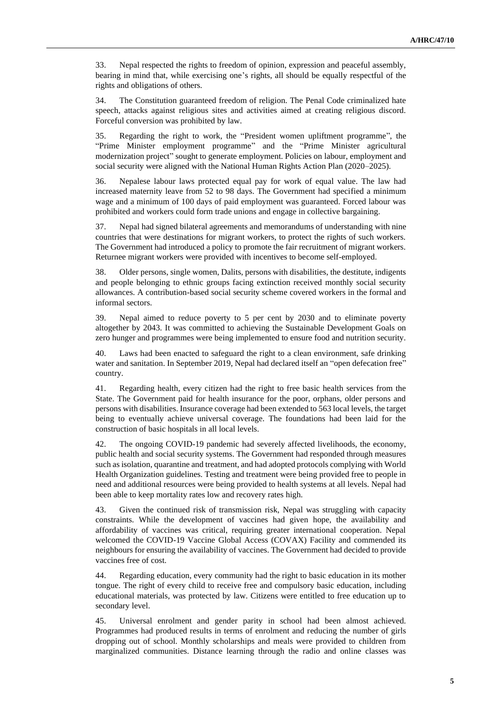33. Nepal respected the rights to freedom of opinion, expression and peaceful assembly, bearing in mind that, while exercising one's rights, all should be equally respectful of the rights and obligations of others.

34. The Constitution guaranteed freedom of religion. The Penal Code criminalized hate speech, attacks against religious sites and activities aimed at creating religious discord. Forceful conversion was prohibited by law.

35. Regarding the right to work, the "President women upliftment programme", the "Prime Minister employment programme" and the "Prime Minister agricultural modernization project" sought to generate employment. Policies on labour, employment and social security were aligned with the National Human Rights Action Plan (2020–2025).

36. Nepalese labour laws protected equal pay for work of equal value. The law had increased maternity leave from 52 to 98 days. The Government had specified a minimum wage and a minimum of 100 days of paid employment was guaranteed. Forced labour was prohibited and workers could form trade unions and engage in collective bargaining.

37. Nepal had signed bilateral agreements and memorandums of understanding with nine countries that were destinations for migrant workers, to protect the rights of such workers. The Government had introduced a policy to promote the fair recruitment of migrant workers. Returnee migrant workers were provided with incentives to become self-employed.

38. Older persons, single women, Dalits, persons with disabilities, the destitute, indigents and people belonging to ethnic groups facing extinction received monthly social security allowances. A contribution-based social security scheme covered workers in the formal and informal sectors.

39. Nepal aimed to reduce poverty to 5 per cent by 2030 and to eliminate poverty altogether by 2043. It was committed to achieving the Sustainable Development Goals on zero hunger and programmes were being implemented to ensure food and nutrition security.

40. Laws had been enacted to safeguard the right to a clean environment, safe drinking water and sanitation. In September 2019, Nepal had declared itself an "open defecation free" country.

41. Regarding health, every citizen had the right to free basic health services from the State. The Government paid for health insurance for the poor, orphans, older persons and persons with disabilities. Insurance coverage had been extended to 563 local levels, the target being to eventually achieve universal coverage. The foundations had been laid for the construction of basic hospitals in all local levels.

42. The ongoing COVID-19 pandemic had severely affected livelihoods, the economy, public health and social security systems. The Government had responded through measures such as isolation, quarantine and treatment, and had adopted protocols complying with World Health Organization guidelines. Testing and treatment were being provided free to people in need and additional resources were being provided to health systems at all levels. Nepal had been able to keep mortality rates low and recovery rates high.

43. Given the continued risk of transmission risk, Nepal was struggling with capacity constraints. While the development of vaccines had given hope, the availability and affordability of vaccines was critical, requiring greater international cooperation. Nepal welcomed the COVID-19 Vaccine Global Access (COVAX) Facility and commended its neighbours for ensuring the availability of vaccines. The Government had decided to provide vaccines free of cost.

44. Regarding education, every community had the right to basic education in its mother tongue. The right of every child to receive free and compulsory basic education, including educational materials, was protected by law. Citizens were entitled to free education up to secondary level.

45. Universal enrolment and gender parity in school had been almost achieved. Programmes had produced results in terms of enrolment and reducing the number of girls dropping out of school. Monthly scholarships and meals were provided to children from marginalized communities. Distance learning through the radio and online classes was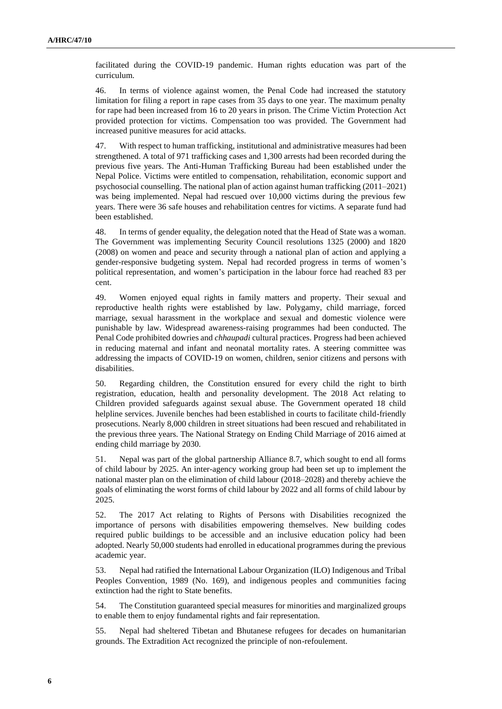facilitated during the COVID-19 pandemic. Human rights education was part of the curriculum.

46. In terms of violence against women, the Penal Code had increased the statutory limitation for filing a report in rape cases from 35 days to one year. The maximum penalty for rape had been increased from 16 to 20 years in prison. The Crime Victim Protection Act provided protection for victims. Compensation too was provided. The Government had increased punitive measures for acid attacks.

47. With respect to human trafficking, institutional and administrative measures had been strengthened. A total of 971 trafficking cases and 1,300 arrests had been recorded during the previous five years. The Anti-Human Trafficking Bureau had been established under the Nepal Police. Victims were entitled to compensation, rehabilitation, economic support and psychosocial counselling. The national plan of action against human trafficking (2011–2021) was being implemented. Nepal had rescued over 10,000 victims during the previous few years. There were 36 safe houses and rehabilitation centres for victims. A separate fund had been established.

48. In terms of gender equality, the delegation noted that the Head of State was a woman. The Government was implementing Security Council resolutions 1325 (2000) and 1820 (2008) on women and peace and security through a national plan of action and applying a gender-responsive budgeting system. Nepal had recorded progress in terms of women's political representation, and women's participation in the labour force had reached 83 per cent.

49. Women enjoyed equal rights in family matters and property. Their sexual and reproductive health rights were established by law. Polygamy, child marriage, forced marriage, sexual harassment in the workplace and sexual and domestic violence were punishable by law. Widespread awareness-raising programmes had been conducted. The Penal Code prohibited dowries and *chhaupadi* cultural practices. Progress had been achieved in reducing maternal and infant and neonatal mortality rates. A steering committee was addressing the impacts of COVID-19 on women, children, senior citizens and persons with disabilities.

50. Regarding children, the Constitution ensured for every child the right to birth registration, education, health and personality development. The 2018 Act relating to Children provided safeguards against sexual abuse. The Government operated 18 child helpline services. Juvenile benches had been established in courts to facilitate child-friendly prosecutions. Nearly 8,000 children in street situations had been rescued and rehabilitated in the previous three years. The National Strategy on Ending Child Marriage of 2016 aimed at ending child marriage by 2030.

51. Nepal was part of the global partnership Alliance 8.7, which sought to end all forms of child labour by 2025. An inter-agency working group had been set up to implement the national master plan on the elimination of child labour (2018–2028) and thereby achieve the goals of eliminating the worst forms of child labour by 2022 and all forms of child labour by 2025.

52. The 2017 Act relating to Rights of Persons with Disabilities recognized the importance of persons with disabilities empowering themselves. New building codes required public buildings to be accessible and an inclusive education policy had been adopted. Nearly 50,000 students had enrolled in educational programmes during the previous academic year.

53. Nepal had ratified the International Labour Organization (ILO) Indigenous and Tribal Peoples Convention, 1989 (No. 169), and indigenous peoples and communities facing extinction had the right to State benefits.

54. The Constitution guaranteed special measures for minorities and marginalized groups to enable them to enjoy fundamental rights and fair representation.

55. Nepal had sheltered Tibetan and Bhutanese refugees for decades on humanitarian grounds. The Extradition Act recognized the principle of non-refoulement.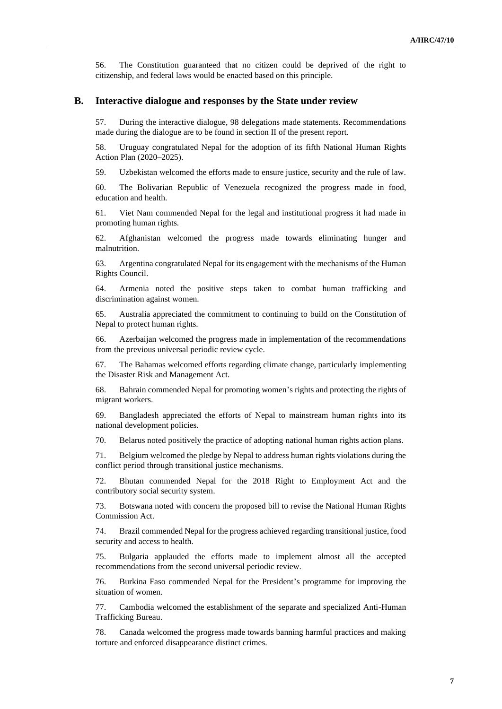56. The Constitution guaranteed that no citizen could be deprived of the right to citizenship, and federal laws would be enacted based on this principle.

#### **B. Interactive dialogue and responses by the State under review**

57. During the interactive dialogue, 98 delegations made statements. Recommendations made during the dialogue are to be found in section II of the present report.

58. Uruguay congratulated Nepal for the adoption of its fifth National Human Rights Action Plan (2020–2025).

59. Uzbekistan welcomed the efforts made to ensure justice, security and the rule of law.

60. The Bolivarian Republic of Venezuela recognized the progress made in food, education and health.

61. Viet Nam commended Nepal for the legal and institutional progress it had made in promoting human rights.

62. Afghanistan welcomed the progress made towards eliminating hunger and malnutrition.

63. Argentina congratulated Nepal for its engagement with the mechanisms of the Human Rights Council.

64. Armenia noted the positive steps taken to combat human trafficking and discrimination against women.

65. Australia appreciated the commitment to continuing to build on the Constitution of Nepal to protect human rights.

66. Azerbaijan welcomed the progress made in implementation of the recommendations from the previous universal periodic review cycle.

67. The Bahamas welcomed efforts regarding climate change, particularly implementing the Disaster Risk and Management Act.

68. Bahrain commended Nepal for promoting women's rights and protecting the rights of migrant workers.

69. Bangladesh appreciated the efforts of Nepal to mainstream human rights into its national development policies.

70. Belarus noted positively the practice of adopting national human rights action plans.

71. Belgium welcomed the pledge by Nepal to address human rights violations during the conflict period through transitional justice mechanisms.

72. Bhutan commended Nepal for the 2018 Right to Employment Act and the contributory social security system.

73. Botswana noted with concern the proposed bill to revise the National Human Rights Commission Act.

74. Brazil commended Nepal for the progress achieved regarding transitional justice, food security and access to health.

75. Bulgaria applauded the efforts made to implement almost all the accepted recommendations from the second universal periodic review.

76. Burkina Faso commended Nepal for the President's programme for improving the situation of women.

77. Cambodia welcomed the establishment of the separate and specialized Anti-Human Trafficking Bureau.

78. Canada welcomed the progress made towards banning harmful practices and making torture and enforced disappearance distinct crimes.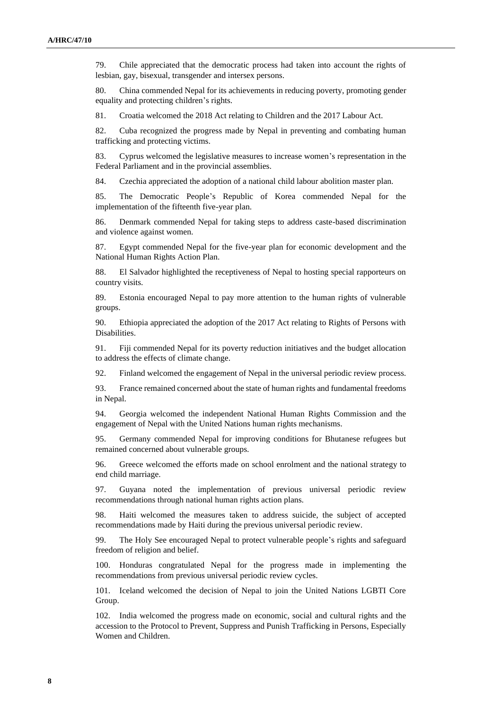79. Chile appreciated that the democratic process had taken into account the rights of lesbian, gay, bisexual, transgender and intersex persons.

80. China commended Nepal for its achievements in reducing poverty, promoting gender equality and protecting children's rights.

81. Croatia welcomed the 2018 Act relating to Children and the 2017 Labour Act.

82. Cuba recognized the progress made by Nepal in preventing and combating human trafficking and protecting victims.

83. Cyprus welcomed the legislative measures to increase women's representation in the Federal Parliament and in the provincial assemblies.

84. Czechia appreciated the adoption of a national child labour abolition master plan.

85. The Democratic People's Republic of Korea commended Nepal for the implementation of the fifteenth five-year plan.

86. Denmark commended Nepal for taking steps to address caste-based discrimination and violence against women.

87. Egypt commended Nepal for the five-year plan for economic development and the National Human Rights Action Plan.

88. El Salvador highlighted the receptiveness of Nepal to hosting special rapporteurs on country visits.

89. Estonia encouraged Nepal to pay more attention to the human rights of vulnerable groups.

90. Ethiopia appreciated the adoption of the 2017 Act relating to Rights of Persons with Disabilities.

91. Fiji commended Nepal for its poverty reduction initiatives and the budget allocation to address the effects of climate change.

92. Finland welcomed the engagement of Nepal in the universal periodic review process.

93. France remained concerned about the state of human rights and fundamental freedoms in Nepal.

94. Georgia welcomed the independent National Human Rights Commission and the engagement of Nepal with the United Nations human rights mechanisms.

95. Germany commended Nepal for improving conditions for Bhutanese refugees but remained concerned about vulnerable groups.

96. Greece welcomed the efforts made on school enrolment and the national strategy to end child marriage.

97. Guyana noted the implementation of previous universal periodic review recommendations through national human rights action plans.

98. Haiti welcomed the measures taken to address suicide, the subject of accepted recommendations made by Haiti during the previous universal periodic review.

99. The Holy See encouraged Nepal to protect vulnerable people's rights and safeguard freedom of religion and belief.

100. Honduras congratulated Nepal for the progress made in implementing the recommendations from previous universal periodic review cycles.

101. Iceland welcomed the decision of Nepal to join the United Nations LGBTI Core Group.

102. India welcomed the progress made on economic, social and cultural rights and the accession to the Protocol to Prevent, Suppress and Punish Trafficking in Persons, Especially Women and Children.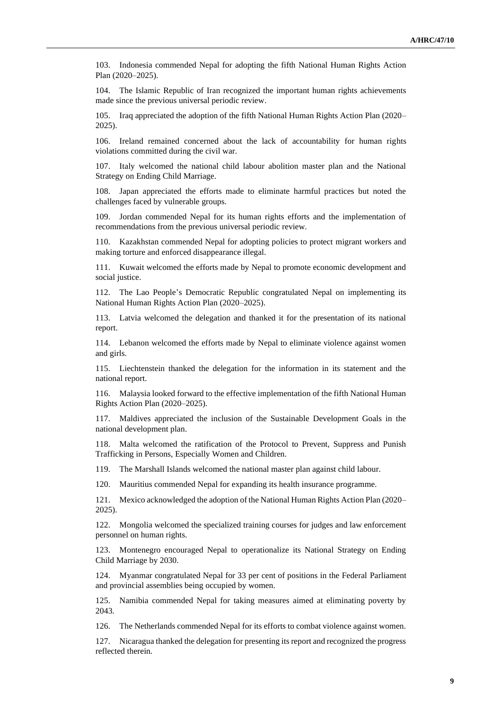103. Indonesia commended Nepal for adopting the fifth National Human Rights Action Plan (2020–2025).

104. The Islamic Republic of Iran recognized the important human rights achievements made since the previous universal periodic review.

105. Iraq appreciated the adoption of the fifth National Human Rights Action Plan (2020– 2025).

106. Ireland remained concerned about the lack of accountability for human rights violations committed during the civil war.

107. Italy welcomed the national child labour abolition master plan and the National Strategy on Ending Child Marriage.

108. Japan appreciated the efforts made to eliminate harmful practices but noted the challenges faced by vulnerable groups.

109. Jordan commended Nepal for its human rights efforts and the implementation of recommendations from the previous universal periodic review.

110. Kazakhstan commended Nepal for adopting policies to protect migrant workers and making torture and enforced disappearance illegal.

111. Kuwait welcomed the efforts made by Nepal to promote economic development and social justice.

112. The Lao People's Democratic Republic congratulated Nepal on implementing its National Human Rights Action Plan (2020–2025).

113. Latvia welcomed the delegation and thanked it for the presentation of its national report.

114. Lebanon welcomed the efforts made by Nepal to eliminate violence against women and girls.

115. Liechtenstein thanked the delegation for the information in its statement and the national report.

116. Malaysia looked forward to the effective implementation of the fifth National Human Rights Action Plan (2020–2025).

117. Maldives appreciated the inclusion of the Sustainable Development Goals in the national development plan.

118. Malta welcomed the ratification of the Protocol to Prevent, Suppress and Punish Trafficking in Persons, Especially Women and Children.

119. The Marshall Islands welcomed the national master plan against child labour.

120. Mauritius commended Nepal for expanding its health insurance programme.

121. Mexico acknowledged the adoption of the National Human Rights Action Plan (2020– 2025).

122. Mongolia welcomed the specialized training courses for judges and law enforcement personnel on human rights.

123. Montenegro encouraged Nepal to operationalize its National Strategy on Ending Child Marriage by 2030.

124. Myanmar congratulated Nepal for 33 per cent of positions in the Federal Parliament and provincial assemblies being occupied by women.

125. Namibia commended Nepal for taking measures aimed at eliminating poverty by 2043.

126. The Netherlands commended Nepal for its efforts to combat violence against women.

127. Nicaragua thanked the delegation for presenting its report and recognized the progress reflected therein.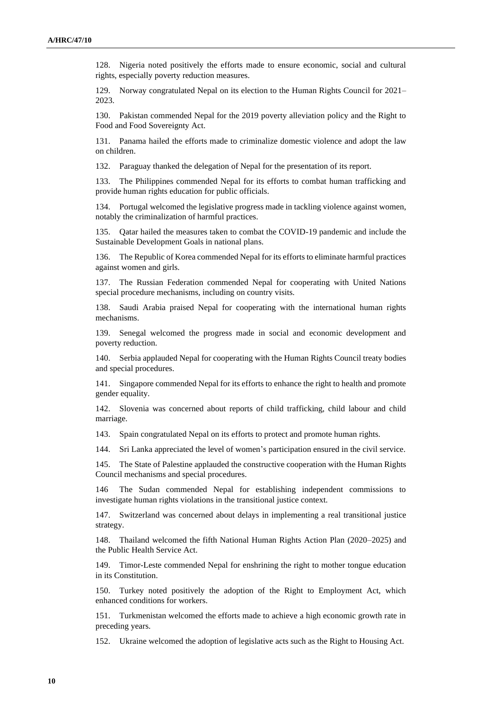128. Nigeria noted positively the efforts made to ensure economic, social and cultural rights, especially poverty reduction measures.

129. Norway congratulated Nepal on its election to the Human Rights Council for 2021– 2023.

130. Pakistan commended Nepal for the 2019 poverty alleviation policy and the Right to Food and Food Sovereignty Act.

131. Panama hailed the efforts made to criminalize domestic violence and adopt the law on children.

132. Paraguay thanked the delegation of Nepal for the presentation of its report.

133. The Philippines commended Nepal for its efforts to combat human trafficking and provide human rights education for public officials.

134. Portugal welcomed the legislative progress made in tackling violence against women, notably the criminalization of harmful practices.

135. Qatar hailed the measures taken to combat the COVID-19 pandemic and include the Sustainable Development Goals in national plans.

The Republic of Korea commended Nepal for its efforts to eliminate harmful practices against women and girls.

137. The Russian Federation commended Nepal for cooperating with United Nations special procedure mechanisms, including on country visits.

138. Saudi Arabia praised Nepal for cooperating with the international human rights mechanisms.

139. Senegal welcomed the progress made in social and economic development and poverty reduction.

140. Serbia applauded Nepal for cooperating with the Human Rights Council treaty bodies and special procedures.

141. Singapore commended Nepal for its efforts to enhance the right to health and promote gender equality.

142. Slovenia was concerned about reports of child trafficking, child labour and child marriage.

143. Spain congratulated Nepal on its efforts to protect and promote human rights.

144. Sri Lanka appreciated the level of women's participation ensured in the civil service.

145. The State of Palestine applauded the constructive cooperation with the Human Rights Council mechanisms and special procedures.

146 The Sudan commended Nepal for establishing independent commissions to investigate human rights violations in the transitional justice context.

147. Switzerland was concerned about delays in implementing a real transitional justice strategy.

148. Thailand welcomed the fifth National Human Rights Action Plan (2020–2025) and the Public Health Service Act.

149. Timor-Leste commended Nepal for enshrining the right to mother tongue education in its Constitution.

150. Turkey noted positively the adoption of the Right to Employment Act, which enhanced conditions for workers.

151. Turkmenistan welcomed the efforts made to achieve a high economic growth rate in preceding years.

152. Ukraine welcomed the adoption of legislative acts such as the Right to Housing Act.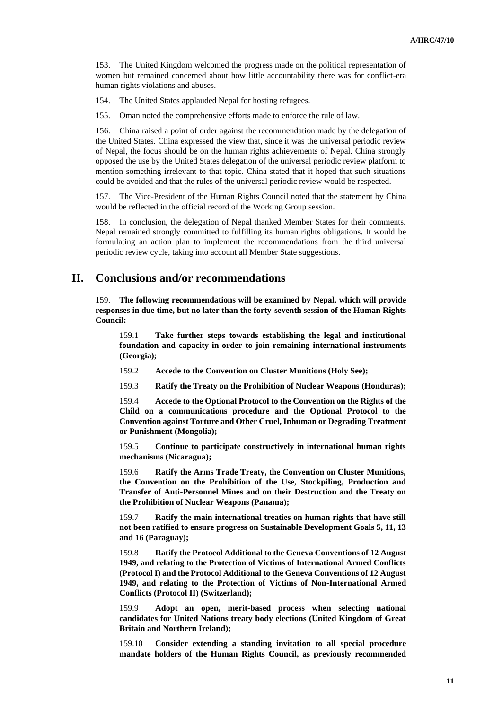153. The United Kingdom welcomed the progress made on the political representation of women but remained concerned about how little accountability there was for conflict-era human rights violations and abuses.

154. The United States applauded Nepal for hosting refugees.

155. Oman noted the comprehensive efforts made to enforce the rule of law.

156. China raised a point of order against the recommendation made by the delegation of the United States. China expressed the view that, since it was the universal periodic review of Nepal, the focus should be on the human rights achievements of Nepal. China strongly opposed the use by the United States delegation of the universal periodic review platform to mention something irrelevant to that topic. China stated that it hoped that such situations could be avoided and that the rules of the universal periodic review would be respected.

157. The Vice-President of the Human Rights Council noted that the statement by China would be reflected in the official record of the Working Group session.

158. In conclusion, the delegation of Nepal thanked Member States for their comments. Nepal remained strongly committed to fulfilling its human rights obligations. It would be formulating an action plan to implement the recommendations from the third universal periodic review cycle, taking into account all Member State suggestions.

### **II. Conclusions and/or recommendations**

159. **The following recommendations will be examined by Nepal, which will provide responses in due time, but no later than the forty-seventh session of the Human Rights Council:**

159.1 **Take further steps towards establishing the legal and institutional foundation and capacity in order to join remaining international instruments (Georgia);**

159.2 **Accede to the Convention on Cluster Munitions (Holy See);**

159.3 **Ratify the Treaty on the Prohibition of Nuclear Weapons (Honduras);**

159.4 **Accede to the Optional Protocol to the Convention on the Rights of the Child on a communications procedure and the Optional Protocol to the Convention against Torture and Other Cruel, Inhuman or Degrading Treatment or Punishment (Mongolia);**

159.5 **Continue to participate constructively in international human rights mechanisms (Nicaragua);**

159.6 **Ratify the Arms Trade Treaty, the Convention on Cluster Munitions, the Convention on the Prohibition of the Use, Stockpiling, Production and Transfer of Anti-Personnel Mines and on their Destruction and the Treaty on the Prohibition of Nuclear Weapons (Panama);**

159.7 **Ratify the main international treaties on human rights that have still not been ratified to ensure progress on Sustainable Development Goals 5, 11, 13 and 16 (Paraguay);**

159.8 **Ratify the Protocol Additional to the Geneva Conventions of 12 August 1949, and relating to the Protection of Victims of International Armed Conflicts (Protocol I) and the Protocol Additional to the Geneva Conventions of 12 August 1949, and relating to the Protection of Victims of Non-International Armed Conflicts (Protocol II) (Switzerland);**

159.9 **Adopt an open, merit-based process when selecting national candidates for United Nations treaty body elections (United Kingdom of Great Britain and Northern Ireland);**

159.10 **Consider extending a standing invitation to all special procedure mandate holders of the Human Rights Council, as previously recommended**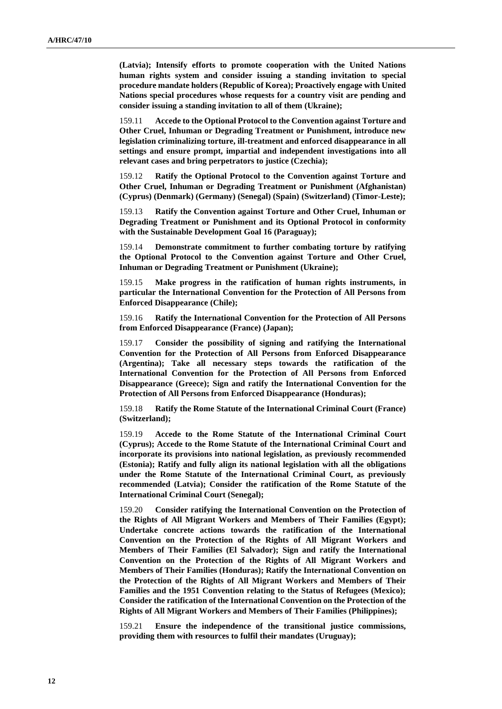**(Latvia); Intensify efforts to promote cooperation with the United Nations human rights system and consider issuing a standing invitation to special procedure mandate holders (Republic of Korea); Proactively engage with United Nations special procedures whose requests for a country visit are pending and consider issuing a standing invitation to all of them (Ukraine);**

159.11 **Accede to the Optional Protocol to the Convention against Torture and Other Cruel, Inhuman or Degrading Treatment or Punishment, introduce new legislation criminalizing torture, ill-treatment and enforced disappearance in all settings and ensure prompt, impartial and independent investigations into all relevant cases and bring perpetrators to justice (Czechia);**

159.12 **Ratify the Optional Protocol to the Convention against Torture and Other Cruel, Inhuman or Degrading Treatment or Punishment (Afghanistan) (Cyprus) (Denmark) (Germany) (Senegal) (Spain) (Switzerland) (Timor-Leste);**

159.13 **Ratify the Convention against Torture and Other Cruel, Inhuman or Degrading Treatment or Punishment and its Optional Protocol in conformity with the Sustainable Development Goal 16 (Paraguay);**

159.14 **Demonstrate commitment to further combating torture by ratifying the Optional Protocol to the Convention against Torture and Other Cruel, Inhuman or Degrading Treatment or Punishment (Ukraine);**

159.15 **Make progress in the ratification of human rights instruments, in particular the International Convention for the Protection of All Persons from Enforced Disappearance (Chile);**

159.16 **Ratify the International Convention for the Protection of All Persons from Enforced Disappearance (France) (Japan);**

159.17 **Consider the possibility of signing and ratifying the International Convention for the Protection of All Persons from Enforced Disappearance (Argentina); Take all necessary steps towards the ratification of the International Convention for the Protection of All Persons from Enforced Disappearance (Greece); Sign and ratify the International Convention for the Protection of All Persons from Enforced Disappearance (Honduras);**

159.18 **Ratify the Rome Statute of the International Criminal Court (France) (Switzerland);**

159.19 **Accede to the Rome Statute of the International Criminal Court (Cyprus); Accede to the Rome Statute of the International Criminal Court and incorporate its provisions into national legislation, as previously recommended (Estonia); Ratify and fully align its national legislation with all the obligations under the Rome Statute of the International Criminal Court, as previously recommended (Latvia); Consider the ratification of the Rome Statute of the International Criminal Court (Senegal);**

**Consider ratifying the International Convention on the Protection of the Rights of All Migrant Workers and Members of Their Families (Egypt); Undertake concrete actions towards the ratification of the International Convention on the Protection of the Rights of All Migrant Workers and Members of Their Families (El Salvador); Sign and ratify the International Convention on the Protection of the Rights of All Migrant Workers and Members of Their Families (Honduras); Ratify the International Convention on the Protection of the Rights of All Migrant Workers and Members of Their Families and the 1951 Convention relating to the Status of Refugees (Mexico); Consider the ratification of the International Convention on the Protection of the Rights of All Migrant Workers and Members of Their Families (Philippines);**

159.21 **Ensure the independence of the transitional justice commissions, providing them with resources to fulfil their mandates (Uruguay);**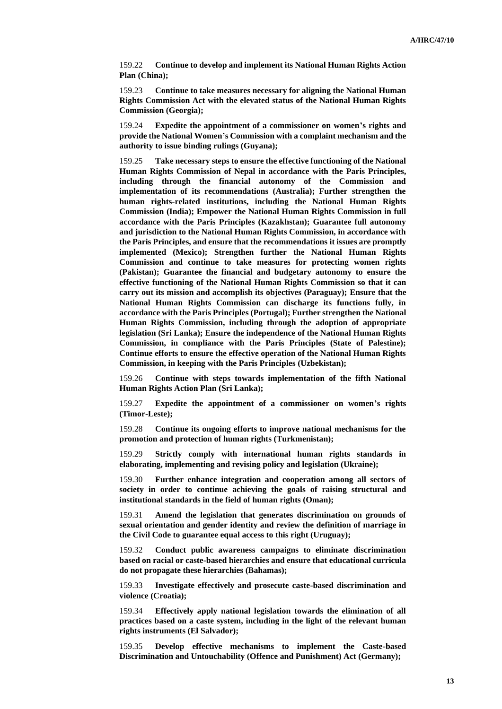159.22 **Continue to develop and implement its National Human Rights Action Plan (China);**

159.23 **Continue to take measures necessary for aligning the National Human Rights Commission Act with the elevated status of the National Human Rights Commission (Georgia);**

159.24 **Expedite the appointment of a commissioner on women's rights and provide the National Women's Commission with a complaint mechanism and the authority to issue binding rulings (Guyana);**

159.25 **Take necessary steps to ensure the effective functioning of the National Human Rights Commission of Nepal in accordance with the Paris Principles, including through the financial autonomy of the Commission and implementation of its recommendations (Australia); Further strengthen the human rights-related institutions, including the National Human Rights Commission (India); Empower the National Human Rights Commission in full accordance with the Paris Principles (Kazakhstan); Guarantee full autonomy and jurisdiction to the National Human Rights Commission, in accordance with the Paris Principles, and ensure that the recommendations it issues are promptly implemented (Mexico); Strengthen further the National Human Rights Commission and continue to take measures for protecting women rights (Pakistan); Guarantee the financial and budgetary autonomy to ensure the effective functioning of the National Human Rights Commission so that it can carry out its mission and accomplish its objectives (Paraguay); Ensure that the National Human Rights Commission can discharge its functions fully, in accordance with the Paris Principles (Portugal); Further strengthen the National Human Rights Commission, including through the adoption of appropriate legislation (Sri Lanka); Ensure the independence of the National Human Rights Commission, in compliance with the Paris Principles (State of Palestine); Continue efforts to ensure the effective operation of the National Human Rights Commission, in keeping with the Paris Principles (Uzbekistan);**

159.26 **Continue with steps towards implementation of the fifth National Human Rights Action Plan (Sri Lanka);**

159.27 **Expedite the appointment of a commissioner on women's rights (Timor-Leste);**

159.28 **Continue its ongoing efforts to improve national mechanisms for the promotion and protection of human rights (Turkmenistan);**

159.29 **Strictly comply with international human rights standards in elaborating, implementing and revising policy and legislation (Ukraine);**

159.30 **Further enhance integration and cooperation among all sectors of society in order to continue achieving the goals of raising structural and institutional standards in the field of human rights (Oman);**

159.31 **Amend the legislation that generates discrimination on grounds of sexual orientation and gender identity and review the definition of marriage in the Civil Code to guarantee equal access to this right (Uruguay);**

159.32 **Conduct public awareness campaigns to eliminate discrimination based on racial or caste-based hierarchies and ensure that educational curricula do not propagate these hierarchies (Bahamas);**

159.33 **Investigate effectively and prosecute caste-based discrimination and violence (Croatia);**

159.34 **Effectively apply national legislation towards the elimination of all practices based on a caste system, including in the light of the relevant human rights instruments (El Salvador);**

159.35 **Develop effective mechanisms to implement the Caste-based Discrimination and Untouchability (Offence and Punishment) Act (Germany);**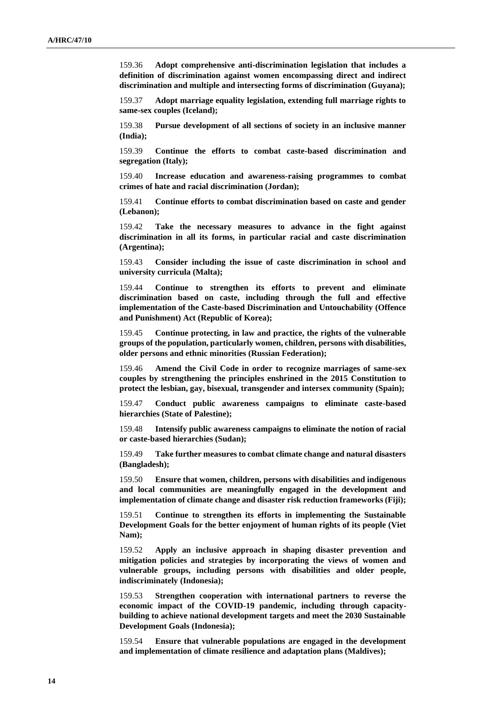159.36 **Adopt comprehensive anti-discrimination legislation that includes a definition of discrimination against women encompassing direct and indirect discrimination and multiple and intersecting forms of discrimination (Guyana);**

159.37 **Adopt marriage equality legislation, extending full marriage rights to same-sex couples (Iceland);**

159.38 **Pursue development of all sections of society in an inclusive manner (India);**

159.39 **Continue the efforts to combat caste-based discrimination and segregation (Italy);**

159.40 **Increase education and awareness-raising programmes to combat crimes of hate and racial discrimination (Jordan);**

159.41 **Continue efforts to combat discrimination based on caste and gender (Lebanon);**

159.42 **Take the necessary measures to advance in the fight against discrimination in all its forms, in particular racial and caste discrimination (Argentina);**

159.43 **Consider including the issue of caste discrimination in school and university curricula (Malta);**

159.44 **Continue to strengthen its efforts to prevent and eliminate discrimination based on caste, including through the full and effective implementation of the Caste-based Discrimination and Untouchability (Offence and Punishment) Act (Republic of Korea);**

159.45 **Continue protecting, in law and practice, the rights of the vulnerable groups of the population, particularly women, children, persons with disabilities, older persons and ethnic minorities (Russian Federation);**

159.46 **Amend the Civil Code in order to recognize marriages of same-sex couples by strengthening the principles enshrined in the 2015 Constitution to protect the lesbian, gay, bisexual, transgender and intersex community (Spain);**

159.47 **Conduct public awareness campaigns to eliminate caste-based hierarchies (State of Palestine);**

159.48 **Intensify public awareness campaigns to eliminate the notion of racial or caste-based hierarchies (Sudan);**

159.49 **Take further measures to combat climate change and natural disasters (Bangladesh);**

159.50 **Ensure that women, children, persons with disabilities and indigenous and local communities are meaningfully engaged in the development and implementation of climate change and disaster risk reduction frameworks (Fiji);**

159.51 **Continue to strengthen its efforts in implementing the Sustainable Development Goals for the better enjoyment of human rights of its people (Viet Nam);**

159.52 **Apply an inclusive approach in shaping disaster prevention and mitigation policies and strategies by incorporating the views of women and vulnerable groups, including persons with disabilities and older people, indiscriminately (Indonesia);**

159.53 **Strengthen cooperation with international partners to reverse the economic impact of the COVID-19 pandemic, including through capacitybuilding to achieve national development targets and meet the 2030 Sustainable Development Goals (Indonesia);**

159.54 **Ensure that vulnerable populations are engaged in the development and implementation of climate resilience and adaptation plans (Maldives);**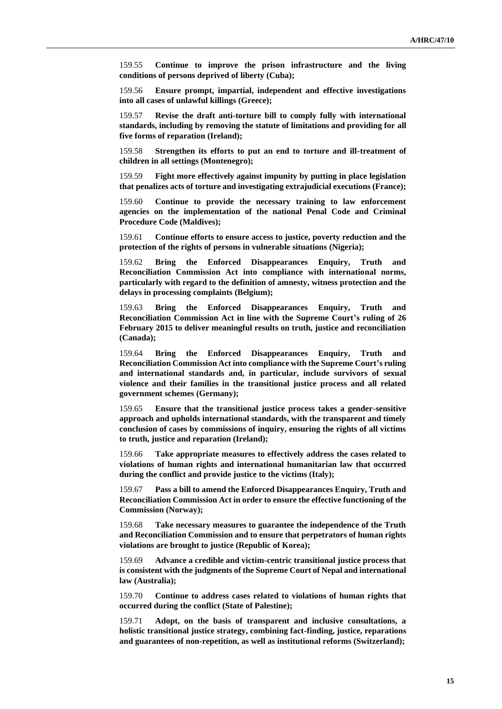159.55 **Continue to improve the prison infrastructure and the living conditions of persons deprived of liberty (Cuba);**

159.56 **Ensure prompt, impartial, independent and effective investigations into all cases of unlawful killings (Greece);**

159.57 **Revise the draft anti-torture bill to comply fully with international standards, including by removing the statute of limitations and providing for all five forms of reparation (Ireland);**

159.58 **Strengthen its efforts to put an end to torture and ill-treatment of children in all settings (Montenegro);**

159.59 **Fight more effectively against impunity by putting in place legislation that penalizes acts of torture and investigating extrajudicial executions (France);**

159.60 **Continue to provide the necessary training to law enforcement agencies on the implementation of the national Penal Code and Criminal Procedure Code (Maldives);**

159.61 **Continue efforts to ensure access to justice, poverty reduction and the protection of the rights of persons in vulnerable situations (Nigeria);**

159.62 **Bring the Enforced Disappearances Enquiry, Truth and Reconciliation Commission Act into compliance with international norms, particularly with regard to the definition of amnesty, witness protection and the delays in processing complaints (Belgium);**

159.63 **Bring the Enforced Disappearances Enquiry, Truth and Reconciliation Commission Act in line with the Supreme Court's ruling of 26 February 2015 to deliver meaningful results on truth, justice and reconciliation (Canada);**

159.64 **Bring the Enforced Disappearances Enquiry, Truth and Reconciliation Commission Act into compliance with the Supreme Court's ruling and international standards and, in particular, include survivors of sexual violence and their families in the transitional justice process and all related government schemes (Germany);**

159.65 **Ensure that the transitional justice process takes a gender-sensitive approach and upholds international standards, with the transparent and timely conclusion of cases by commissions of inquiry, ensuring the rights of all victims to truth, justice and reparation (Ireland);**

159.66 **Take appropriate measures to effectively address the cases related to violations of human rights and international humanitarian law that occurred during the conflict and provide justice to the victims (Italy);**

159.67 **Pass a bill to amend the Enforced Disappearances Enquiry, Truth and Reconciliation Commission Act in order to ensure the effective functioning of the Commission (Norway);**

159.68 **Take necessary measures to guarantee the independence of the Truth and Reconciliation Commission and to ensure that perpetrators of human rights violations are brought to justice (Republic of Korea);**

159.69 **Advance a credible and victim-centric transitional justice process that is consistent with the judgments of the Supreme Court of Nepal and international law (Australia);**

159.70 **Continue to address cases related to violations of human rights that occurred during the conflict (State of Palestine);**

159.71 **Adopt, on the basis of transparent and inclusive consultations, a holistic transitional justice strategy, combining fact-finding, justice, reparations and guarantees of non-repetition, as well as institutional reforms (Switzerland);**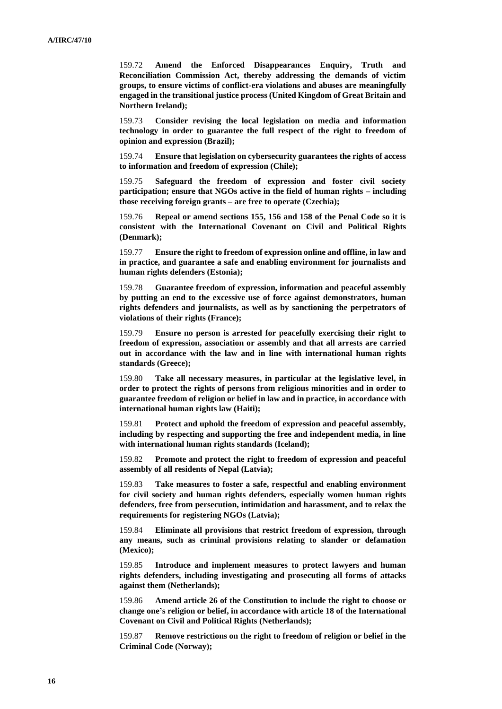159.72 **Amend the Enforced Disappearances Enquiry, Truth and Reconciliation Commission Act, thereby addressing the demands of victim groups, to ensure victims of conflict-era violations and abuses are meaningfully engaged in the transitional justice process (United Kingdom of Great Britain and Northern Ireland);**

159.73 **Consider revising the local legislation on media and information technology in order to guarantee the full respect of the right to freedom of opinion and expression (Brazil);**

159.74 **Ensure that legislation on cybersecurity guarantees the rights of access to information and freedom of expression (Chile);**

159.75 **Safeguard the freedom of expression and foster civil society participation; ensure that NGOs active in the field of human rights – including those receiving foreign grants – are free to operate (Czechia);**

159.76 **Repeal or amend sections 155, 156 and 158 of the Penal Code so it is consistent with the International Covenant on Civil and Political Rights (Denmark);**

159.77 **Ensure the right to freedom of expression online and offline, in law and in practice, and guarantee a safe and enabling environment for journalists and human rights defenders (Estonia);**

159.78 **Guarantee freedom of expression, information and peaceful assembly by putting an end to the excessive use of force against demonstrators, human rights defenders and journalists, as well as by sanctioning the perpetrators of violations of their rights (France);**

159.79 **Ensure no person is arrested for peacefully exercising their right to freedom of expression, association or assembly and that all arrests are carried out in accordance with the law and in line with international human rights standards (Greece);**

159.80 **Take all necessary measures, in particular at the legislative level, in order to protect the rights of persons from religious minorities and in order to guarantee freedom of religion or belief in law and in practice, in accordance with international human rights law (Haiti);**

159.81 **Protect and uphold the freedom of expression and peaceful assembly, including by respecting and supporting the free and independent media, in line with international human rights standards (Iceland);**

159.82 **Promote and protect the right to freedom of expression and peaceful assembly of all residents of Nepal (Latvia);**

159.83 **Take measures to foster a safe, respectful and enabling environment for civil society and human rights defenders, especially women human rights defenders, free from persecution, intimidation and harassment, and to relax the requirements for registering NGOs (Latvia);**

159.84 **Eliminate all provisions that restrict freedom of expression, through any means, such as criminal provisions relating to slander or defamation (Mexico);**

159.85 **Introduce and implement measures to protect lawyers and human rights defenders, including investigating and prosecuting all forms of attacks against them (Netherlands);**

159.86 **Amend article 26 of the Constitution to include the right to choose or change one's religion or belief, in accordance with article 18 of the International Covenant on Civil and Political Rights (Netherlands);**

159.87 **Remove restrictions on the right to freedom of religion or belief in the Criminal Code (Norway);**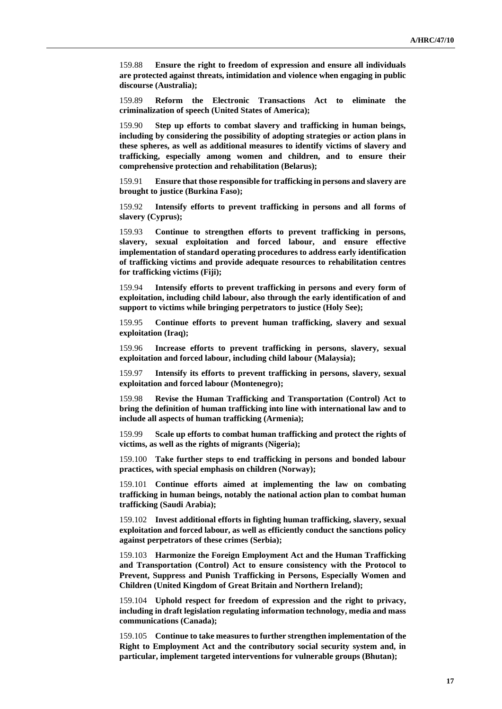159.88 **Ensure the right to freedom of expression and ensure all individuals are protected against threats, intimidation and violence when engaging in public discourse (Australia);**

159.89 **Reform the Electronic Transactions Act to eliminate the criminalization of speech (United States of America);**

159.90 **Step up efforts to combat slavery and trafficking in human beings, including by considering the possibility of adopting strategies or action plans in these spheres, as well as additional measures to identify victims of slavery and trafficking, especially among women and children, and to ensure their comprehensive protection and rehabilitation (Belarus);**

159.91 **Ensure that those responsible for trafficking in persons and slavery are brought to justice (Burkina Faso);**

159.92 **Intensify efforts to prevent trafficking in persons and all forms of slavery (Cyprus);**

159.93 **Continue to strengthen efforts to prevent trafficking in persons, slavery, sexual exploitation and forced labour, and ensure effective implementation of standard operating procedures to address early identification of trafficking victims and provide adequate resources to rehabilitation centres for trafficking victims (Fiji);**

159.94 **Intensify efforts to prevent trafficking in persons and every form of exploitation, including child labour, also through the early identification of and support to victims while bringing perpetrators to justice (Holy See);**

159.95 **Continue efforts to prevent human trafficking, slavery and sexual exploitation (Iraq);**

159.96 **Increase efforts to prevent trafficking in persons, slavery, sexual exploitation and forced labour, including child labour (Malaysia);**

159.97 **Intensify its efforts to prevent trafficking in persons, slavery, sexual exploitation and forced labour (Montenegro);**

159.98 **Revise the Human Trafficking and Transportation (Control) Act to bring the definition of human trafficking into line with international law and to include all aspects of human trafficking (Armenia);**

159.99 **Scale up efforts to combat human trafficking and protect the rights of victims, as well as the rights of migrants (Nigeria);**

159.100 **Take further steps to end trafficking in persons and bonded labour practices, with special emphasis on children (Norway);**

159.101 **Continue efforts aimed at implementing the law on combating trafficking in human beings, notably the national action plan to combat human trafficking (Saudi Arabia);**

159.102 **Invest additional efforts in fighting human trafficking, slavery, sexual exploitation and forced labour, as well as efficiently conduct the sanctions policy against perpetrators of these crimes (Serbia);**

159.103 **Harmonize the Foreign Employment Act and the Human Trafficking and Transportation (Control) Act to ensure consistency with the Protocol to Prevent, Suppress and Punish Trafficking in Persons, Especially Women and Children (United Kingdom of Great Britain and Northern Ireland);**

159.104 **Uphold respect for freedom of expression and the right to privacy, including in draft legislation regulating information technology, media and mass communications (Canada);**

159.105 **Continue to take measures to further strengthen implementation of the Right to Employment Act and the contributory social security system and, in particular, implement targeted interventions for vulnerable groups (Bhutan);**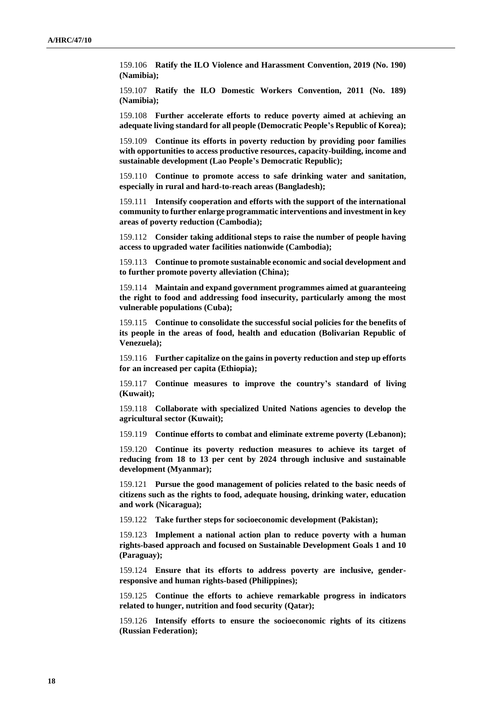159.106 **Ratify the ILO Violence and Harassment Convention, 2019 (No. 190) (Namibia);**

159.107 **Ratify the ILO Domestic Workers Convention, 2011 (No. 189) (Namibia);**

159.108 **Further accelerate efforts to reduce poverty aimed at achieving an adequate living standard for all people (Democratic People's Republic of Korea);**

159.109 **Continue its efforts in poverty reduction by providing poor families with opportunities to access productive resources, capacity-building, income and sustainable development (Lao People's Democratic Republic);**

159.110 **Continue to promote access to safe drinking water and sanitation, especially in rural and hard-to-reach areas (Bangladesh);**

159.111 **Intensify cooperation and efforts with the support of the international community to further enlarge programmatic interventions and investment in key areas of poverty reduction (Cambodia);**

159.112 **Consider taking additional steps to raise the number of people having access to upgraded water facilities nationwide (Cambodia);**

159.113 **Continue to promote sustainable economic and social development and to further promote poverty alleviation (China);**

159.114 **Maintain and expand government programmes aimed at guaranteeing the right to food and addressing food insecurity, particularly among the most vulnerable populations (Cuba);**

159.115 **Continue to consolidate the successful social policies for the benefits of its people in the areas of food, health and education (Bolivarian Republic of Venezuela);**

159.116 **Further capitalize on the gains in poverty reduction and step up efforts for an increased per capita (Ethiopia);**

159.117 **Continue measures to improve the country's standard of living (Kuwait);**

159.118 **Collaborate with specialized United Nations agencies to develop the agricultural sector (Kuwait);**

159.119 **Continue efforts to combat and eliminate extreme poverty (Lebanon);**

159.120 **Continue its poverty reduction measures to achieve its target of reducing from 18 to 13 per cent by 2024 through inclusive and sustainable development (Myanmar);**

159.121 **Pursue the good management of policies related to the basic needs of citizens such as the rights to food, adequate housing, drinking water, education and work (Nicaragua);**

159.122 **Take further steps for socioeconomic development (Pakistan);**

159.123 **Implement a national action plan to reduce poverty with a human rights-based approach and focused on Sustainable Development Goals 1 and 10 (Paraguay);**

159.124 **Ensure that its efforts to address poverty are inclusive, genderresponsive and human rights-based (Philippines);**

159.125 **Continue the efforts to achieve remarkable progress in indicators related to hunger, nutrition and food security (Qatar);**

159.126 **Intensify efforts to ensure the socioeconomic rights of its citizens (Russian Federation);**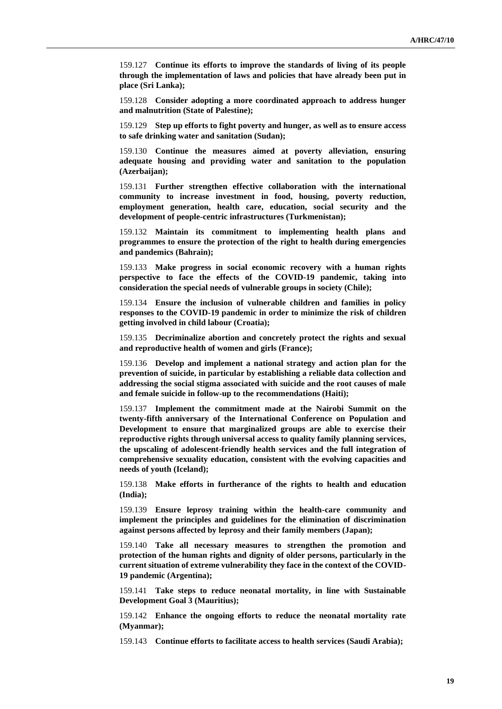159.127 **Continue its efforts to improve the standards of living of its people through the implementation of laws and policies that have already been put in place (Sri Lanka);** 

159.128 **Consider adopting a more coordinated approach to address hunger and malnutrition (State of Palestine);**

159.129 **Step up efforts to fight poverty and hunger, as well as to ensure access to safe drinking water and sanitation (Sudan);**

159.130 **Continue the measures aimed at poverty alleviation, ensuring adequate housing and providing water and sanitation to the population (Azerbaijan);**

159.131 **Further strengthen effective collaboration with the international community to increase investment in food, housing, poverty reduction, employment generation, health care, education, social security and the development of people-centric infrastructures (Turkmenistan);**

159.132 **Maintain its commitment to implementing health plans and programmes to ensure the protection of the right to health during emergencies and pandemics (Bahrain);**

159.133 **Make progress in social economic recovery with a human rights perspective to face the effects of the COVID-19 pandemic, taking into consideration the special needs of vulnerable groups in society (Chile);**

159.134 **Ensure the inclusion of vulnerable children and families in policy responses to the COVID-19 pandemic in order to minimize the risk of children getting involved in child labour (Croatia);**

159.135 **Decriminalize abortion and concretely protect the rights and sexual and reproductive health of women and girls (France);**

159.136 **Develop and implement a national strategy and action plan for the prevention of suicide, in particular by establishing a reliable data collection and addressing the social stigma associated with suicide and the root causes of male and female suicide in follow-up to the recommendations (Haiti);**

159.137 **Implement the commitment made at the Nairobi Summit on the twenty-fifth anniversary of the International Conference on Population and Development to ensure that marginalized groups are able to exercise their reproductive rights through universal access to quality family planning services, the upscaling of adolescent-friendly health services and the full integration of comprehensive sexuality education, consistent with the evolving capacities and needs of youth (Iceland);**

159.138 **Make efforts in furtherance of the rights to health and education (India);**

159.139 **Ensure leprosy training within the health-care community and implement the principles and guidelines for the elimination of discrimination against persons affected by leprosy and their family members (Japan);**

159.140 **Take all necessary measures to strengthen the promotion and protection of the human rights and dignity of older persons, particularly in the current situation of extreme vulnerability they face in the context of the COVID-19 pandemic (Argentina);**

159.141 **Take steps to reduce neonatal mortality, in line with Sustainable Development Goal 3 (Mauritius);**

159.142 **Enhance the ongoing efforts to reduce the neonatal mortality rate (Myanmar);**

159.143 **Continue efforts to facilitate access to health services (Saudi Arabia);**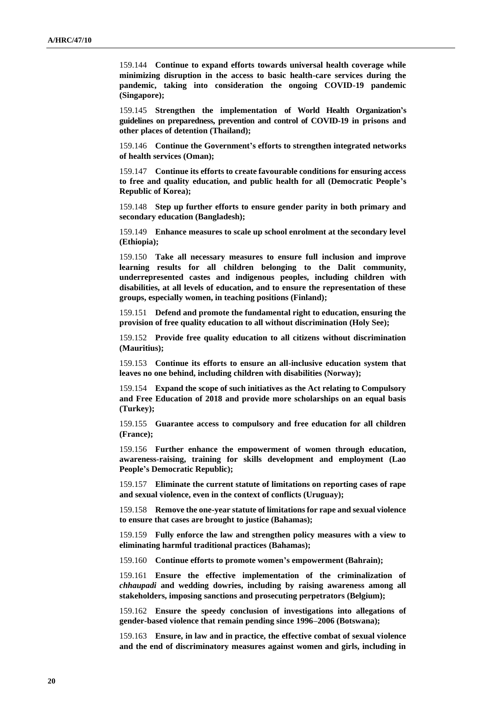159.144 **Continue to expand efforts towards universal health coverage while minimizing disruption in the access to basic health-care services during the pandemic, taking into consideration the ongoing COVID-19 pandemic (Singapore);**

159.145 **Strengthen the implementation of World Health Organization's guidelines on preparedness, prevention and control of COVID-19 in prisons and other places of detention (Thailand);**

159.146 **Continue the Government's efforts to strengthen integrated networks of health services (Oman);**

159.147 **Continue its efforts to create favourable conditions for ensuring access to free and quality education, and public health for all (Democratic People's Republic of Korea);**

159.148 **Step up further efforts to ensure gender parity in both primary and secondary education (Bangladesh);**

159.149 **Enhance measures to scale up school enrolment at the secondary level (Ethiopia);**

159.150 **Take all necessary measures to ensure full inclusion and improve learning results for all children belonging to the Dalit community, underrepresented castes and indigenous peoples, including children with disabilities, at all levels of education, and to ensure the representation of these groups, especially women, in teaching positions (Finland);**

159.151 **Defend and promote the fundamental right to education, ensuring the provision of free quality education to all without discrimination (Holy See);**

159.152 **Provide free quality education to all citizens without discrimination (Mauritius);**

159.153 **Continue its efforts to ensure an all-inclusive education system that leaves no one behind, including children with disabilities (Norway);**

159.154 **Expand the scope of such initiatives as the Act relating to Compulsory and Free Education of 2018 and provide more scholarships on an equal basis (Turkey);**

159.155 **Guarantee access to compulsory and free education for all children (France);**

159.156 **Further enhance the empowerment of women through education, awareness-raising, training for skills development and employment (Lao People's Democratic Republic);**

159.157 **Eliminate the current statute of limitations on reporting cases of rape and sexual violence, even in the context of conflicts (Uruguay);**

159.158 **Remove the one-year statute of limitations for rape and sexual violence to ensure that cases are brought to justice (Bahamas);**

159.159 **Fully enforce the law and strengthen policy measures with a view to eliminating harmful traditional practices (Bahamas);**

159.160 **Continue efforts to promote women's empowerment (Bahrain);**

159.161 **Ensure the effective implementation of the criminalization of**  *chhaupadi* **and wedding dowries, including by raising awareness among all stakeholders, imposing sanctions and prosecuting perpetrators (Belgium);**

159.162 **Ensure the speedy conclusion of investigations into allegations of gender-based violence that remain pending since 1996–2006 (Botswana);**

159.163 **Ensure, in law and in practice, the effective combat of sexual violence and the end of discriminatory measures against women and girls, including in**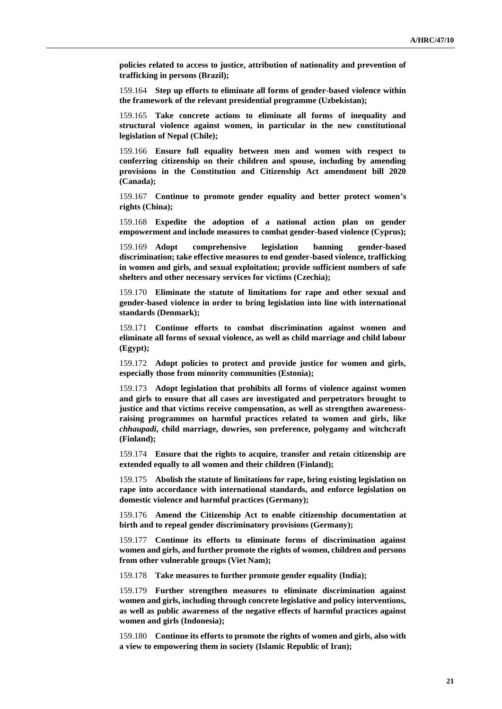**policies related to access to justice, attribution of nationality and prevention of trafficking in persons (Brazil);**

159.164 **Step up efforts to eliminate all forms of gender-based violence within the framework of the relevant presidential programme (Uzbekistan);**

159.165 **Take concrete actions to eliminate all forms of inequality and structural violence against women, in particular in the new constitutional legislation of Nepal (Chile);**

159.166 **Ensure full equality between men and women with respect to conferring citizenship on their children and spouse, including by amending provisions in the Constitution and Citizenship Act amendment bill 2020 (Canada);**

159.167 **Continue to promote gender equality and better protect women's rights (China);**

159.168 **Expedite the adoption of a national action plan on gender empowerment and include measures to combat gender-based violence (Cyprus);**

159.169 **Adopt comprehensive legislation banning gender-based discrimination; take effective measures to end gender-based violence, trafficking in women and girls, and sexual exploitation; provide sufficient numbers of safe shelters and other necessary services for victims (Czechia);**

159.170 **Eliminate the statute of limitations for rape and other sexual and gender-based violence in order to bring legislation into line with international standards (Denmark);**

159.171 **Continue efforts to combat discrimination against women and eliminate all forms of sexual violence, as well as child marriage and child labour (Egypt);**

159.172 **Adopt policies to protect and provide justice for women and girls, especially those from minority communities (Estonia);**

159.173 **Adopt legislation that prohibits all forms of violence against women and girls to ensure that all cases are investigated and perpetrators brought to justice and that victims receive compensation, as well as strengthen awarenessraising programmes on harmful practices related to women and girls, like**  *chhaupadi***, child marriage, dowries, son preference, polygamy and witchcraft (Finland);**

159.174 **Ensure that the rights to acquire, transfer and retain citizenship are extended equally to all women and their children (Finland);**

159.175 **Abolish the statute of limitations for rape, bring existing legislation on rape into accordance with international standards, and enforce legislation on domestic violence and harmful practices (Germany);**

159.176 **Amend the Citizenship Act to enable citizenship documentation at birth and to repeal gender discriminatory provisions (Germany);**

159.177 **Continue its efforts to eliminate forms of discrimination against women and girls, and further promote the rights of women, children and persons from other vulnerable groups (Viet Nam);**

159.178 **Take measures to further promote gender equality (India);**

159.179 **Further strengthen measures to eliminate discrimination against women and girls, including through concrete legislative and policy interventions, as well as public awareness of the negative effects of harmful practices against women and girls (Indonesia);**

159.180 **Continue its efforts to promote the rights of women and girls, also with a view to empowering them in society (Islamic Republic of Iran);**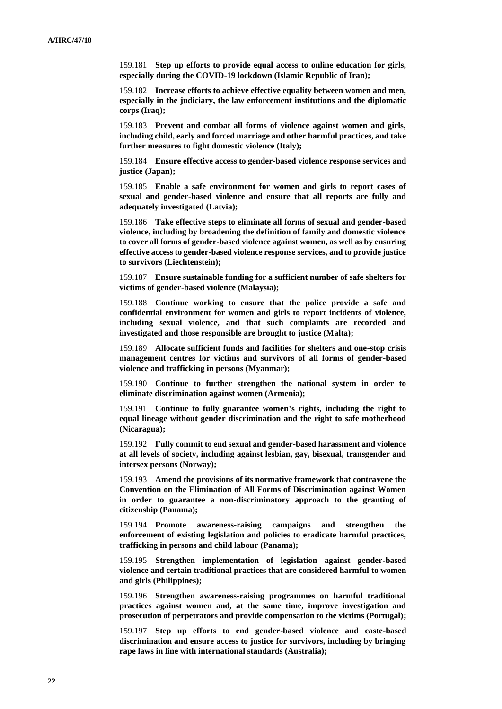159.181 **Step up efforts to provide equal access to online education for girls, especially during the COVID-19 lockdown (Islamic Republic of Iran);**

159.182 **Increase efforts to achieve effective equality between women and men, especially in the judiciary, the law enforcement institutions and the diplomatic corps (Iraq);**

159.183 **Prevent and combat all forms of violence against women and girls, including child, early and forced marriage and other harmful practices, and take further measures to fight domestic violence (Italy);**

159.184 **Ensure effective access to gender-based violence response services and justice (Japan);**

159.185 **Enable a safe environment for women and girls to report cases of sexual and gender-based violence and ensure that all reports are fully and adequately investigated (Latvia);**

159.186 **Take effective steps to eliminate all forms of sexual and gender-based violence, including by broadening the definition of family and domestic violence to cover all forms of gender-based violence against women, as well as by ensuring effective access to gender-based violence response services, and to provide justice to survivors (Liechtenstein);**

159.187 **Ensure sustainable funding for a sufficient number of safe shelters for victims of gender-based violence (Malaysia);**

159.188 **Continue working to ensure that the police provide a safe and confidential environment for women and girls to report incidents of violence, including sexual violence, and that such complaints are recorded and investigated and those responsible are brought to justice (Malta);**

159.189 **Allocate sufficient funds and facilities for shelters and one-stop crisis management centres for victims and survivors of all forms of gender-based violence and trafficking in persons (Myanmar);**

159.190 **Continue to further strengthen the national system in order to eliminate discrimination against women (Armenia);**

159.191 **Continue to fully guarantee women's rights, including the right to equal lineage without gender discrimination and the right to safe motherhood (Nicaragua);**

159.192 **Fully commit to end sexual and gender-based harassment and violence at all levels of society, including against lesbian, gay, bisexual, transgender and intersex persons (Norway);**

159.193 **Amend the provisions of its normative framework that contravene the Convention on the Elimination of All Forms of Discrimination against Women in order to guarantee a non-discriminatory approach to the granting of citizenship (Panama);**

159.194 **Promote awareness-raising campaigns and strengthen the enforcement of existing legislation and policies to eradicate harmful practices, trafficking in persons and child labour (Panama);**

159.195 **Strengthen implementation of legislation against gender-based violence and certain traditional practices that are considered harmful to women and girls (Philippines);**

159.196 **Strengthen awareness-raising programmes on harmful traditional practices against women and, at the same time, improve investigation and prosecution of perpetrators and provide compensation to the victims (Portugal);**

159.197 **Step up efforts to end gender-based violence and caste-based discrimination and ensure access to justice for survivors, including by bringing rape laws in line with international standards (Australia);**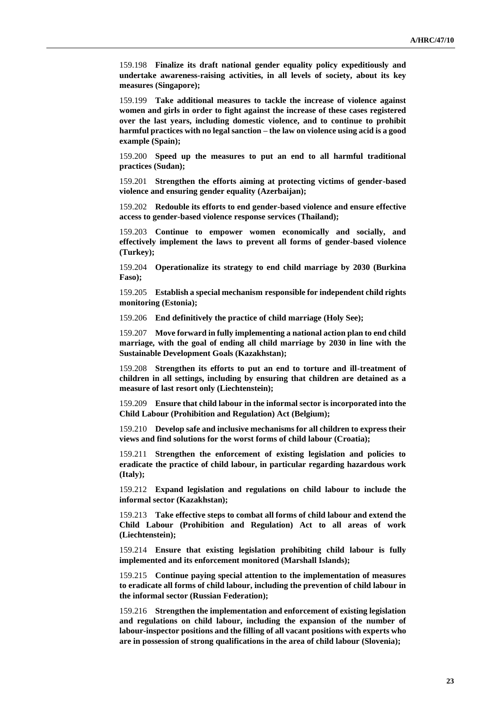159.198 **Finalize its draft national gender equality policy expeditiously and undertake awareness-raising activities, in all levels of society, about its key measures (Singapore);**

159.199 **Take additional measures to tackle the increase of violence against women and girls in order to fight against the increase of these cases registered over the last years, including domestic violence, and to continue to prohibit harmful practices with no legal sanction – the law on violence using acid is a good example (Spain);**

159.200 **Speed up the measures to put an end to all harmful traditional practices (Sudan);**

159.201 **Strengthen the efforts aiming at protecting victims of gender-based violence and ensuring gender equality (Azerbaijan);**

159.202 **Redouble its efforts to end gender-based violence and ensure effective access to gender-based violence response services (Thailand);**

159.203 **Continue to empower women economically and socially, and effectively implement the laws to prevent all forms of gender-based violence (Turkey);**

159.204 **Operationalize its strategy to end child marriage by 2030 (Burkina Faso);**

159.205 **Establish a special mechanism responsible for independent child rights monitoring (Estonia);**

159.206 **End definitively the practice of child marriage (Holy See);**

159.207 **Move forward in fully implementing a national action plan to end child marriage, with the goal of ending all child marriage by 2030 in line with the Sustainable Development Goals (Kazakhstan);**

159.208 **Strengthen its efforts to put an end to torture and ill-treatment of children in all settings, including by ensuring that children are detained as a measure of last resort only (Liechtenstein);**

159.209 **Ensure that child labour in the informal sector is incorporated into the Child Labour (Prohibition and Regulation) Act (Belgium);**

159.210 **Develop safe and inclusive mechanisms for all children to express their views and find solutions for the worst forms of child labour (Croatia);**

159.211 **Strengthen the enforcement of existing legislation and policies to eradicate the practice of child labour, in particular regarding hazardous work (Italy);**

159.212 **Expand legislation and regulations on child labour to include the informal sector (Kazakhstan);**

159.213 **Take effective steps to combat all forms of child labour and extend the Child Labour (Prohibition and Regulation) Act to all areas of work (Liechtenstein);**

159.214 **Ensure that existing legislation prohibiting child labour is fully implemented and its enforcement monitored (Marshall Islands);**

159.215 **Continue paying special attention to the implementation of measures to eradicate all forms of child labour, including the prevention of child labour in the informal sector (Russian Federation);**

159.216 **Strengthen the implementation and enforcement of existing legislation and regulations on child labour, including the expansion of the number of labour-inspector positions and the filling of all vacant positions with experts who are in possession of strong qualifications in the area of child labour (Slovenia);**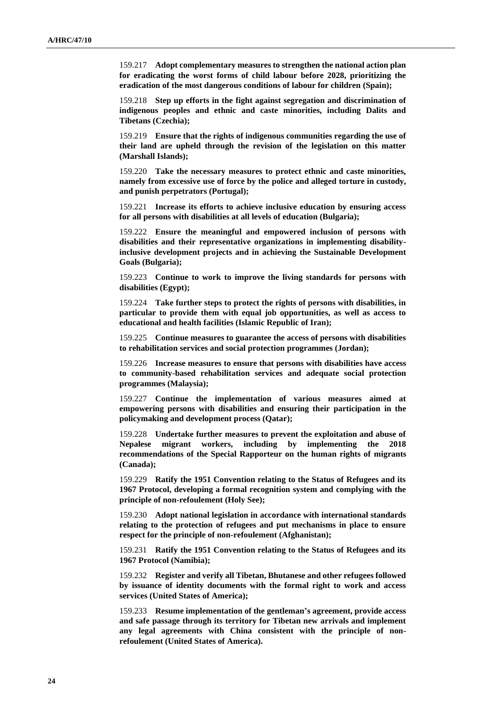159.217 **Adopt complementary measures to strengthen the national action plan for eradicating the worst forms of child labour before 2028, prioritizing the eradication of the most dangerous conditions of labour for children (Spain);**

159.218 **Step up efforts in the fight against segregation and discrimination of indigenous peoples and ethnic and caste minorities, including Dalits and Tibetans (Czechia);**

159.219 **Ensure that the rights of indigenous communities regarding the use of their land are upheld through the revision of the legislation on this matter (Marshall Islands);**

159.220 **Take the necessary measures to protect ethnic and caste minorities, namely from excessive use of force by the police and alleged torture in custody, and punish perpetrators (Portugal);**

159.221 **Increase its efforts to achieve inclusive education by ensuring access for all persons with disabilities at all levels of education (Bulgaria);**

159.222 **Ensure the meaningful and empowered inclusion of persons with disabilities and their representative organizations in implementing disabilityinclusive development projects and in achieving the Sustainable Development Goals (Bulgaria);**

159.223 **Continue to work to improve the living standards for persons with disabilities (Egypt);**

159.224 **Take further steps to protect the rights of persons with disabilities, in particular to provide them with equal job opportunities, as well as access to educational and health facilities (Islamic Republic of Iran);**

159.225 **Continue measures to guarantee the access of persons with disabilities to rehabilitation services and social protection programmes (Jordan);**

159.226 **Increase measures to ensure that persons with disabilities have access to community-based rehabilitation services and adequate social protection programmes (Malaysia);**

159.227 **Continue the implementation of various measures aimed at empowering persons with disabilities and ensuring their participation in the policymaking and development process (Qatar);**

159.228 **Undertake further measures to prevent the exploitation and abuse of Nepalese migrant workers, including by implementing the 2018 recommendations of the Special Rapporteur on the human rights of migrants (Canada);**

159.229 **Ratify the 1951 Convention relating to the Status of Refugees and its 1967 Protocol, developing a formal recognition system and complying with the principle of non-refoulement (Holy See);**

159.230 **Adopt national legislation in accordance with international standards relating to the protection of refugees and put mechanisms in place to ensure respect for the principle of non-refoulement (Afghanistan);**

159.231 **Ratify the 1951 Convention relating to the Status of Refugees and its 1967 Protocol (Namibia);**

159.232 **Register and verify all Tibetan, Bhutanese and other refugees followed by issuance of identity documents with the formal right to work and access services (United States of America);**

159.233 **Resume implementation of the gentleman's agreement, provide access and safe passage through its territory for Tibetan new arrivals and implement any legal agreements with China consistent with the principle of nonrefoulement (United States of America).**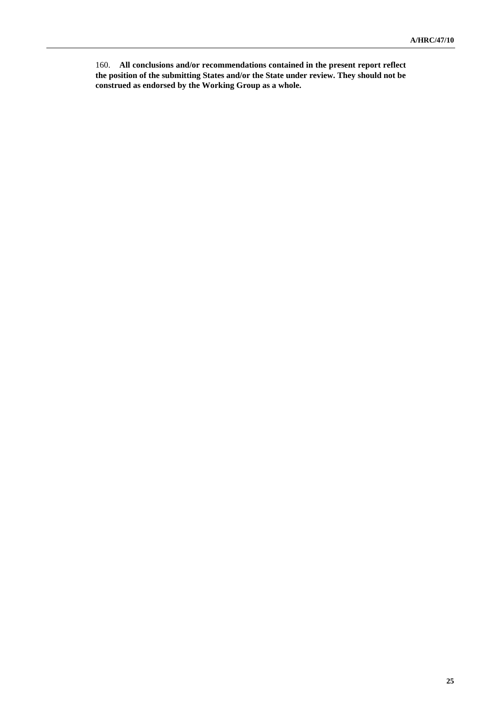160. **All conclusions and/or recommendations contained in the present report reflect the position of the submitting States and/or the State under review. They should not be construed as endorsed by the Working Group as a whole.**